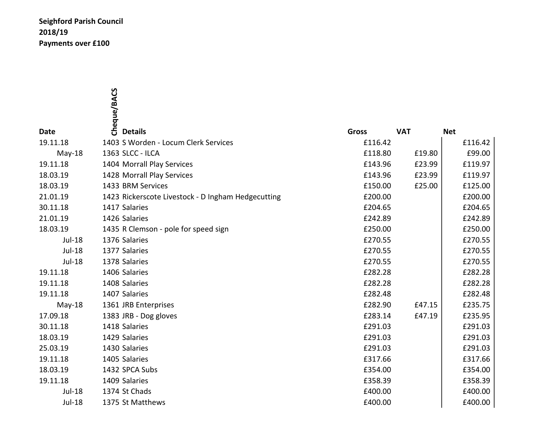## Seighford Parish Council 2018/19 Payments over £100

|               | Cheque/BACS                                        |              |            |            |
|---------------|----------------------------------------------------|--------------|------------|------------|
|               |                                                    |              |            |            |
|               |                                                    |              |            |            |
| <b>Date</b>   | <b>Details</b>                                     | <b>Gross</b> | <b>VAT</b> | <b>Net</b> |
| 19.11.18      | 1403 S Worden - Locum Clerk Services               | £116.42      |            | £116.42    |
| $May-18$      | 1363 SLCC - ILCA                                   | £118.80      | £19.80     | £99.00     |
| 19.11.18      | 1404 Morrall Play Services                         | £143.96      | £23.99     | £119.97    |
| 18.03.19      | 1428 Morrall Play Services                         | £143.96      | £23.99     | £119.97    |
| 18.03.19      | 1433 BRM Services                                  | £150.00      | £25.00     | £125.00    |
| 21.01.19      | 1423 Rickerscote Livestock - D Ingham Hedgecutting | £200.00      |            | £200.00    |
| 30.11.18      | 1417 Salaries                                      | £204.65      |            | £204.65    |
| 21.01.19      | 1426 Salaries                                      | £242.89      |            | £242.89    |
| 18.03.19      | 1435 R Clemson - pole for speed sign               | £250.00      |            | £250.00    |
| Jul-18        | 1376 Salaries                                      | £270.55      |            | £270.55    |
| Jul-18        | 1377 Salaries                                      | £270.55      |            | £270.55    |
| <b>Jul-18</b> | 1378 Salaries                                      | £270.55      |            | £270.55    |
| 19.11.18      | 1406 Salaries                                      | £282.28      |            | £282.28    |
| 19.11.18      | 1408 Salaries                                      | £282.28      |            | £282.28    |
| 19.11.18      | 1407 Salaries                                      | £282.48      |            | £282.48    |
| May-18        | 1361 JRB Enterprises                               | £282.90      | £47.15     | £235.75    |
| 17.09.18      | 1383 JRB - Dog gloves                              | £283.14      | £47.19     | £235.95    |
| 30.11.18      | 1418 Salaries                                      | £291.03      |            | £291.03    |
| 18.03.19      | 1429 Salaries                                      | £291.03      |            | £291.03    |
| 25.03.19      | 1430 Salaries                                      | £291.03      |            | £291.03    |
| 19.11.18      | 1405 Salaries                                      | £317.66      |            | £317.66    |
| 18.03.19      | 1432 SPCA Subs                                     | £354.00      |            | £354.00    |
| 19.11.18      | 1409 Salaries                                      | £358.39      |            | £358.39    |
| Jul-18        | 1374 St Chads                                      | £400.00      |            | £400.00    |
| <b>Jul-18</b> | 1375 St Matthews                                   | £400.00      |            | £400.00    |